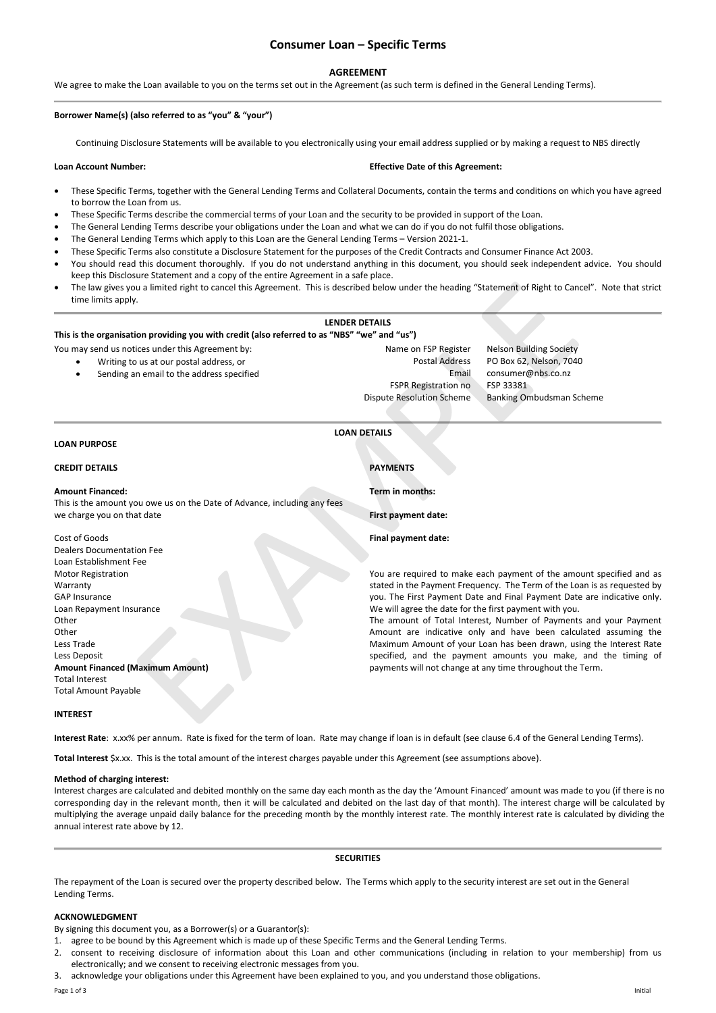# **Consumer Loan – Specific Terms**

# **AGREEMENT**

We agree to make the Loan available to you on the terms set out in the Agreement (as such term is defined in the General Lending Terms).

# **Borrower Name(s) (also referred to as "you" & "your")**

Continuing Disclosure Statements will be available to you electronically using your email address supplied or by making a request to NBS directly

# **Loan Account Number: Effective Date of this Agreement:**

- These Specific Terms, together with the General Lending Terms and Collateral Documents, contain the terms and conditions on which you have agreed to borrow the Loan from us.
- These Specific Terms describe the commercial terms of your Loan and the security to be provided in support of the Loan.
- The General Lending Terms describe your obligations under the Loan and what we can do if you do not fulfil those obligations.
- The General Lending Terms which apply to this Loan are the General Lending Terms Version 2021-1.
- These Specific Terms also constitute a Disclosure Statement for the purposes of the Credit Contracts and Consumer Finance Act 2003.
- You should read this document thoroughly. If you do not understand anything in this document, you should seek independent advice. You should keep this Disclosure Statement and a copy of the entire Agreement in a safe place.
- The law gives you a limited right to cancel this Agreement. This is described below under the heading "Statement of Right to Cancel". Note that strict time limits apply.

# **LENDER DETAILS**

# **This is the organisation providing you with credit (also referred to as "NBS" "we" and "us")**

- You may send us notices under this Agreement by: Name on FSP Register Nelson Building Society
	- Writing to us at our postal address, or Postal Address PO Box 62, Nelson, 7040
	- Sending an email to the address specified Email consumer@nbs.co.nz

FSPR Registration no FSP 33381 Dispute Resolution Scheme Banking Ombudsman Scheme

# **LOAN DETAILS**

#### **LOAN PURPOSE**

# **CREDIT DETAILS PAYMENTS**

#### **Amount Financed:**

Cost of Goods

Dealers Documentation Fee Loan Establishment Fee Motor Registration Warranty GAP Insurance

Loan Repayment Insurance

**Amount Financed (Maximum Amount)**

This is the amount you owe us on the Date of Advance, including any fees we charge you on that date

**First payment date: Final payment date:**

**Term in months:**

You are required to make each payment of the amount specified and as stated in the Payment Frequency. The Term of the Loan is as requested by you. The First Payment Date and Final Payment Date are indicative only. We will agree the date for the first payment with you.

The amount of Total Interest, Number of Payments and your Payment Amount are indicative only and have been calculated assuming the Maximum Amount of your Loan has been drawn, using the Interest Rate specified, and the payment amounts you make, and the timing of payments will not change at any time throughout the Term. us a limited right to cancel this Agreement. This is described below under the heading "Statement of Right to Can<br>
IENDER DEFAILS<br>
LIENDER DEFAILS<br>
LIENDER DEFAILS<br>
LIENDER DEFAILS<br>
LIENDER DEFAILS<br>
LIENDER DEFAILS<br>
LIENDE

#### **INTEREST**

Total Interest Total Amount Payable

Other Other Less Trade Less Deposit

**Interest Rate**: x.xx% per annum. Rate is fixed for the term of loan. Rate may change if loan is in default (see clause 6.4 of the General Lending Terms).

**Total Interest** \$x.xx. This is the total amount of the interest charges payable under this Agreement (see assumptions above).

#### **Method of charging interest:**

Interest charges are calculated and debited monthly on the same day each month as the day the 'Amount Financed' amount was made to you (if there is no corresponding day in the relevant month, then it will be calculated and debited on the last day of that month). The interest charge will be calculated by multiplying the average unpaid daily balance for the preceding month by the monthly interest rate. The monthly interest rate is calculated by dividing the annual interest rate above by 12.

### **SECURITIES**

The repayment of the Loan is secured over the property described below. The Terms which apply to the security interest are set out in the General Lending Terms.

## **ACKNOWLEDGMENT**

By signing this document you, as a Borrower(s) or a Guarantor(s):

1. agree to be bound by this Agreement which is made up of these Specific Terms and the General Lending Terms.

- 2. consent to receiving disclosure of information about this Loan and other communications (including in relation to your membership) from us electronically; and we consent to receiving electronic messages from you.
- 3. acknowledge your obligations under this Agreement have been explained to you, and you understand those obligations.

Page 1 of 3 Initial results of a state of a state of a state of a state of a state of a state of a state of a state of a state of a state of a state of a state of a state of a state of a state of a state of a state of a st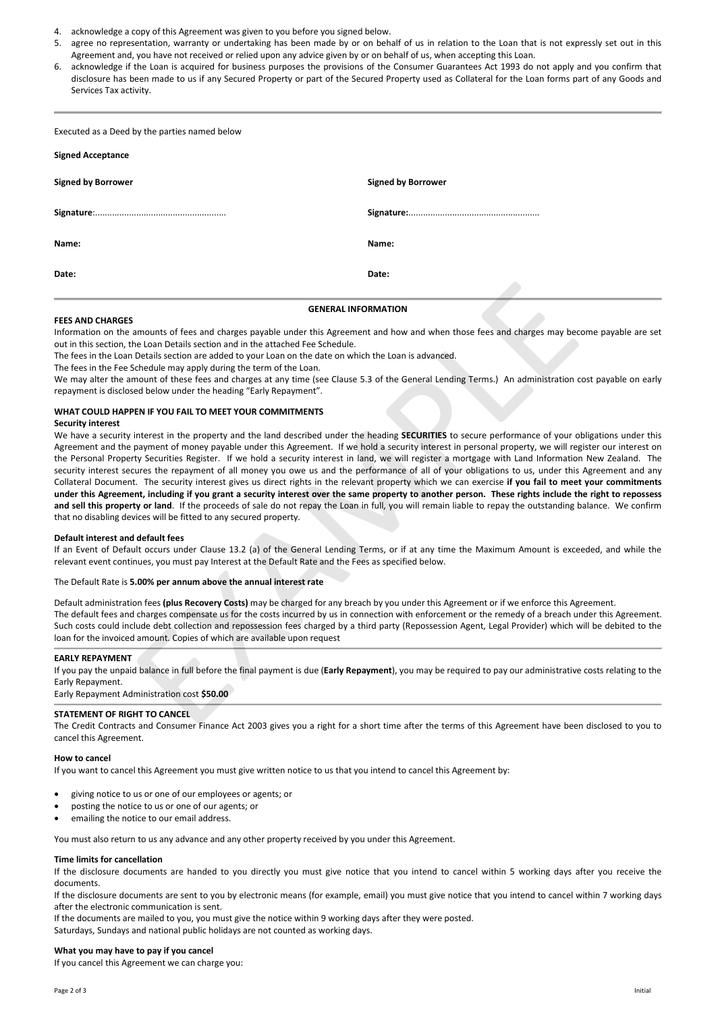- 4. acknowledge a copy of this Agreement was given to you before you signed below.
- 5. agree no representation, warranty or undertaking has been made by or on behalf of us in relation to the Loan that is not expressly set out in this Agreement and, you have not received or relied upon any advice given by or on behalf of us, when accepting this Loan.
- 6. acknowledge if the Loan is acquired for business purposes the provisions of the Consumer Guarantees Act 1993 do not apply and you confirm that disclosure has been made to us if any Secured Property or part of the Secured Property used as Collateral for the Loan forms part of any Goods and Services Tax activity.

Executed as a Deed by the parties named below

| <b>Signed Acceptance</b>  |                           |
|---------------------------|---------------------------|
| <b>Signed by Borrower</b> | <b>Signed by Borrower</b> |
|                           |                           |
| Name:                     | Name:                     |
| Date:                     | Date:                     |

#### **FEES AND CHARGES**

Information on the amounts of fees and charges payable under this Agreement and how and when those fees and charges may become payable are set out in this section, the Loan Details section and in the attached Fee Schedule.

**GENERAL INFORMATION** 

The fees in the Loan Details section are added to your Loan on the date on which the Loan is advanced.

The fees in the Fee Schedule may apply during the term of the Loan.

We may alter the amount of these fees and charges at any time (see Clause 5.3 of the General Lending Terms.) An administration cost payable on early repayment is disclosed below under the heading "Early Repayment".

#### **WHAT COULD HAPPEN IF YOU FAIL TO MEET YOUR COMMITMENTS**

#### **Security interest**

We have a security interest in the property and the land described under the heading **SECURITIES** to secure performance of your obligations under this Agreement and the payment of money payable under this Agreement. If we hold a security interest in personal property, we will register our interest on the Personal Property Securities Register. If we hold a security interest in land, we will register a mortgage with Land Information New Zealand. The security interest secures the repayment of all money you owe us and the performance of all of your obligations to us, under this Agreement and any Collateral Document. The security interest gives us direct rights in the relevant property which we can exercise **if you fail to meet your commitments under this Agreement, including if you grant a security interest over the same property to another person. These rights include the right to repossess and sell this property or land**. If the proceeds of sale do not repay the Loan in full, you will remain liable to repay the outstanding balance. We confirm that no disabling devices will be fitted to any secured property. **GENERAL INFORMATION**<br> **GENERAL INFORMATION**<br> **CENERAL INFORMATION**<br>
Details section and in the attached Fee Schedule.<br>
Details section and in the attached Fee Schedule.<br>
Checkle may apply during the term of the daon.<br>
Che

#### **Default interest and default fees**

If an Event of Default occurs under Clause 13.2 (a) of the General Lending Terms, or if at any time the Maximum Amount is exceeded, and while the relevant event continues, you must pay Interest at the Default Rate and the Fees as specified below.

The Default Rate is **5.00% per annum above the annual interest rate**

Default administration fees **(plus Recovery Costs)** may be charged for any breach by you under this Agreement or if we enforce this Agreement. The default fees and charges compensate us for the costs incurred by us in connection with enforcement or the remedy of a breach under this Agreement. Such costs could include debt collection and repossession fees charged by a third party (Repossession Agent, Legal Provider) which will be debited to the loan for the invoiced amount. Copies of which are available upon request

# **EARLY REPAYMENT**

If you pay the unpaid balance in full before the final payment is due (**Early Repayment**), you may be required to pay our administrative costs relating to the Early Repayment.

Early Repayment Administration cost **\$50.00**

# **STATEMENT OF RIGHT TO CANCEL**

The Credit Contracts and Consumer Finance Act 2003 gives you a right for a short time after the terms of this Agreement have been disclosed to you to cancel this Agreement.

#### **How to cancel**

If you want to cancel this Agreement you must give written notice to us that you intend to cancel this Agreement by:

- giving notice to us or one of our employees or agents; or
- posting the notice to us or one of our agents; or
- emailing the notice to our email address.

You must also return to us any advance and any other property received by you under this Agreement.

#### **Time limits for cancellation**

If the disclosure documents are handed to you directly you must give notice that you intend to cancel within 5 working days after you receive the documents.

If the disclosure documents are sent to you by electronic means (for example, email) you must give notice that you intend to cancel within 7 working days after the electronic communication is sent.

If the documents are mailed to you, you must give the notice within 9 working days after they were posted. Saturdays, Sundays and national public holidays are not counted as working days.

#### **What you may have to pay if you cancel**

If you cancel this Agreement we can charge you: